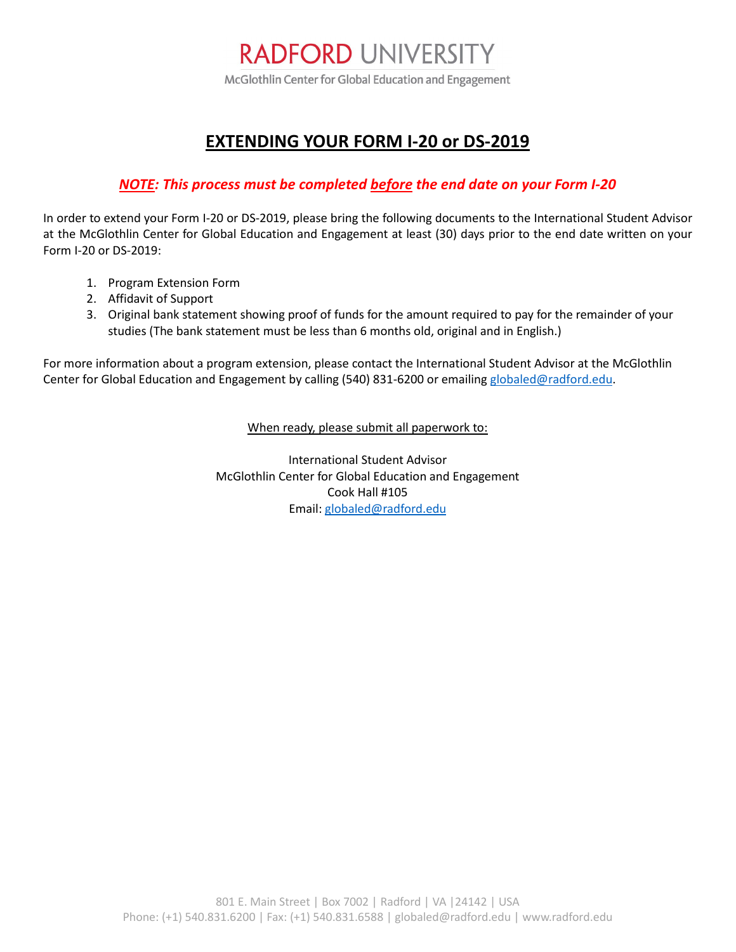# **RADFORD UNIVERSITY**

McGlothlin Center for Global Education and Engagement

## **EXTENDING YOUR FORM I-20 or DS-2019**

### *NOTE: This process must be completed before the end date on your Form I-20*

In order to extend your Form I-20 or DS-2019, please bring the following documents to the International Student Advisor at the McGlothlin Center for Global Education and Engagement at least (30) days prior to the end date written on your Form I-20 or DS-2019:

- 1. Program Extension Form
- 2. Affidavit of Support
- 3. Original bank statement showing proof of funds for the amount required to pay for the remainder of your studies (The bank statement must be less than 6 months old, original and in English.)

For more information about a program extension, please contact the International Student Advisor at the McGlothlin Center for Global Education and Engagement by calling (540) 831-6200 or emailing [globaled@radford.edu.](mailto:globaled@radford.edu)

When ready, please submit all paperwork to:

International Student Advisor McGlothlin Center for Global Education and Engagement Cook Hall #105 Email[: globaled@radford.edu](mailto:globaled@radford.edu)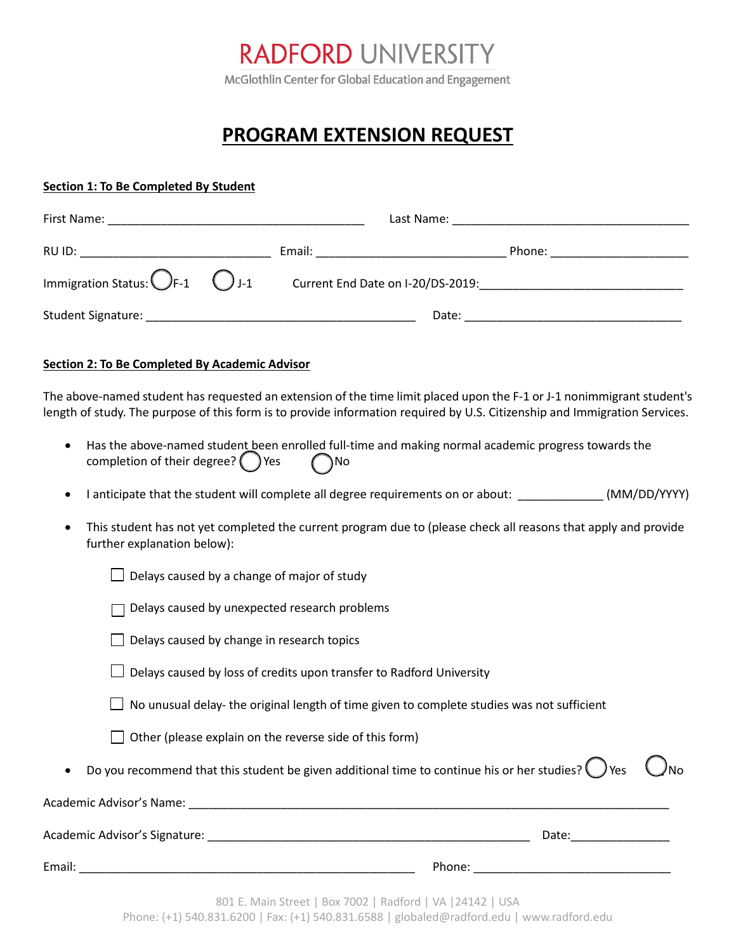# **RADFORD UNIVERSITY**

McGlothlin Center for Global Education and Engagement

## **PROGRAM EXTENSION REQUEST**

#### **Section 1: To Be Completed By Student**

| First Name:                                       |                                                                                                               | Last Name:                        |  |  |
|---------------------------------------------------|---------------------------------------------------------------------------------------------------------------|-----------------------------------|--|--|
| RU ID:                                            | Email: Email: All and the state of the state of the state of the state of the state of the state of the state | Phone:                            |  |  |
| Immigration Status: $\bigcirc$ F-1 $\bigcirc$ J-1 |                                                                                                               | Current End Date on I-20/DS-2019: |  |  |
| Student Signature:                                |                                                                                                               | Date:                             |  |  |

#### **Section 2: To Be Completed By Academic Advisor**

The above-named student has requested an extension of the time limit placed upon the F-1 or J-1 nonimmigrant student's length of study. The purpose of this form is to provide information required by U.S. Citizenship and Immigration Services.

- Has the above-named student been enrolled full-time and making normal academic progress towards the completion of their degree?  $\bigcirc$  Yes  $\bigcirc$  No
- I anticipate that the student will complete all degree requirements on or about:  $(MM/DD/YYYY)$
- This student has not yet completed the current program due to (please check all reasons that apply and provide further explanation below):

|  |  |  |  | $\Box$ Delays caused by a change of major of study |  |  |  |
|--|--|--|--|----------------------------------------------------|--|--|--|
|--|--|--|--|----------------------------------------------------|--|--|--|

- $\Box$  Delays caused by unexpected research problems
- $\Box$  Delays caused by change in research topics
- $\Box$  Delays caused by loss of credits upon transfer to Radford University
- $\Box$  No unusual delay- the original length of time given to complete studies was not sufficient
- $\Box$  Other (please explain on the reverse side of this form)
- Do you recommend that this student be given additional time to continue his or her studies?  $\bigcirc$  Yes  $\bigcirc$  No

| Academic Advisor's Name:      |        |  |  |  |  |
|-------------------------------|--------|--|--|--|--|
| Academic Advisor's Signature: | Date:  |  |  |  |  |
| Email:                        | Phone: |  |  |  |  |